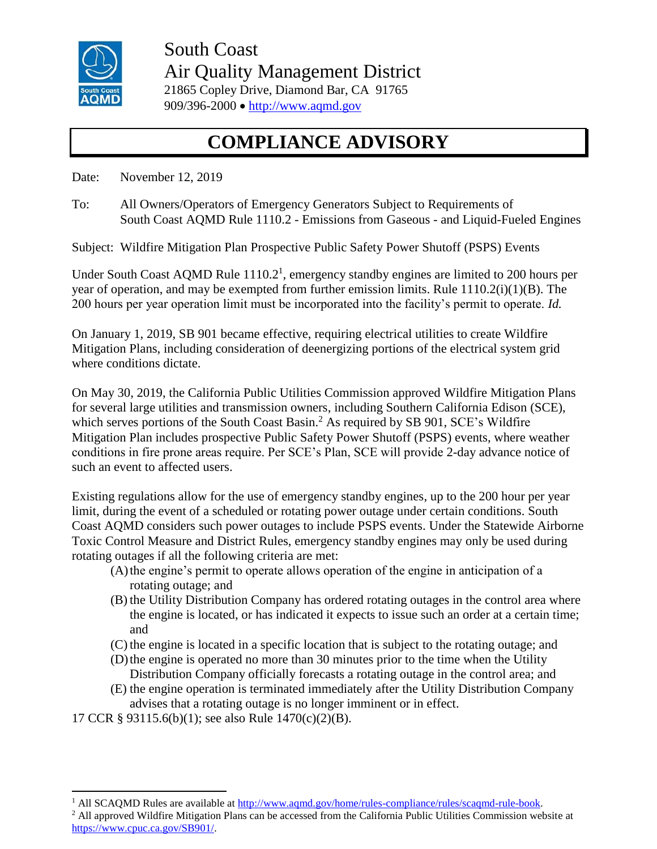

South Coast Air Quality Management District 21865 Copley Drive, Diamond Bar, CA 91765 909/396-2000 • [http://www.aqmd.gov](http://www.aqmd.gov/)

## **COMPLIANCE ADVISORY**

Date: November 12, 2019

To: All Owners/Operators of Emergency Generators Subject to Requirements of South Coast AQMD Rule 1110.2 - Emissions from Gaseous - and Liquid-Fueled Engines

Subject: Wildfire Mitigation Plan Prospective Public Safety Power Shutoff (PSPS) Events

Under South Coast AQMD Rule  $1110.2<sup>1</sup>$ , emergency standby engines are limited to 200 hours per year of operation, and may be exempted from further emission limits. Rule 1110.2(i)(1)(B). The 200 hours per year operation limit must be incorporated into the facility's permit to operate. *Id.*

On January 1, 2019, SB 901 became effective, requiring electrical utilities to create Wildfire Mitigation Plans, including consideration of deenergizing portions of the electrical system grid where conditions dictate.

On May 30, 2019, the California Public Utilities Commission approved Wildfire Mitigation Plans for several large utilities and transmission owners, including Southern California Edison (SCE), which serves portions of the South Coast Basin.<sup>2</sup> As required by SB 901, SCE's Wildfire Mitigation Plan includes prospective Public Safety Power Shutoff (PSPS) events, where weather conditions in fire prone areas require. Per SCE's Plan, SCE will provide 2-day advance notice of such an event to affected users.

Existing regulations allow for the use of emergency standby engines, up to the 200 hour per year limit, during the event of a scheduled or rotating power outage under certain conditions. South Coast AQMD considers such power outages to include PSPS events. Under the Statewide Airborne Toxic Control Measure and District Rules, emergency standby engines may only be used during rotating outages if all the following criteria are met:

- (A)the engine's permit to operate allows operation of the engine in anticipation of a rotating outage; and
- (B) the Utility Distribution Company has ordered rotating outages in the control area where the engine is located, or has indicated it expects to issue such an order at a certain time; and
- (C) the engine is located in a specific location that is subject to the rotating outage; and
- (D)the engine is operated no more than 30 minutes prior to the time when the Utility Distribution Company officially forecasts a rotating outage in the control area; and
- (E) the engine operation is terminated immediately after the Utility Distribution Company advises that a rotating outage is no longer imminent or in effect.

17 CCR § 93115.6(b)(1); see also Rule 1470(c)(2)(B).

 $\overline{a}$ 

<sup>&</sup>lt;sup>1</sup> All SCAOMD Rules are available a[t http://www.aqmd.gov/home/rules-compliance/rules/scaqmd-rule-book.](http://www.aqmd.gov/home/rules-compliance/rules/scaqmd-rule-book)

<sup>&</sup>lt;sup>2</sup> All approved Wildfire Mitigation Plans can be accessed from the California Public Utilities Commission website at [https://www.cpuc.ca.gov/SB901/.](https://www.cpuc.ca.gov/SB901/)